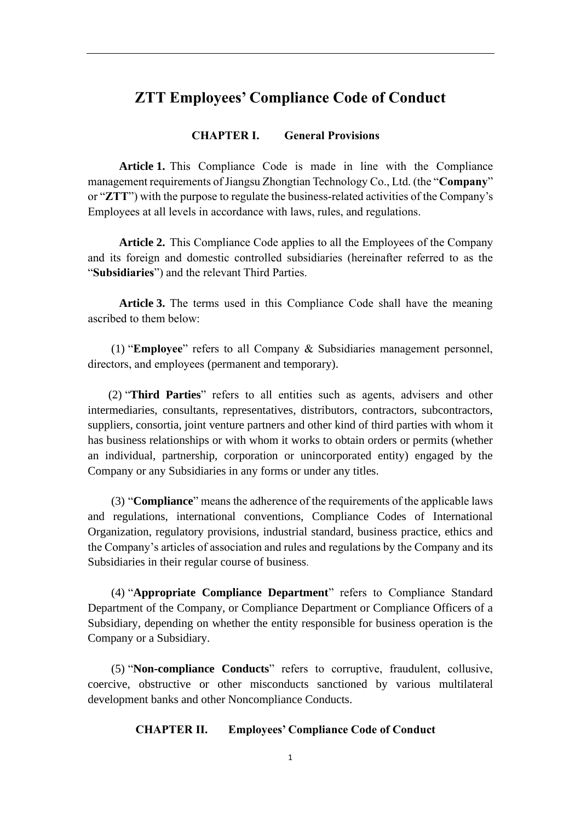# **ZTT Employees' Compliance Code of Conduct**

# **CHAPTER I. General Provisions**

**Article 1.** This Compliance Code is made in line with the Compliance management requirements of Jiangsu Zhongtian Technology Co., Ltd. (the "**Company**" or "**ZTT**") with the purpose to regulate the business-related activities of the Company's Employees at all levels in accordance with laws, rules, and regulations.

**Article 2.** This Compliance Code applies to all the Employees of the Company and its foreign and domestic controlled subsidiaries (hereinafter referred to as the "**Subsidiaries**") and the relevant Third Parties.

**Article 3.** The terms used in this Compliance Code shall have the meaning ascribed to them below:

(1) "**Employee**" refers to all Company & Subsidiaries management personnel, directors, and employees (permanent and temporary).

(2) "**Third Parties**" refers to all entities such as agents, advisers and other intermediaries, consultants, representatives, distributors, contractors, subcontractors, suppliers, consortia, joint venture partners and other kind of third parties with whom it has business relationships or with whom it works to obtain orders or permits (whether an individual, partnership, corporation or unincorporated entity) engaged by the Company or any Subsidiaries in any forms or under any titles.

(3) "**Compliance**" means the adherence of the requirements of the applicable laws and regulations, international conventions, Compliance Codes of International Organization, regulatory provisions, industrial standard, business practice, ethics and the Company's articles of association and rules and regulations by the Company and its Subsidiaries in their regular course of business.

(4) "**Appropriate Compliance Department**" refers to Compliance Standard Department of the Company, or Compliance Department or Compliance Officers of a Subsidiary, depending on whether the entity responsible for business operation is the Company or a Subsidiary.

(5) "**Non-compliance Conducts**" refers to corruptive, fraudulent, collusive, coercive, obstructive or other misconducts sanctioned by various multilateral development banks and other Noncompliance Conducts.

#### **CHAPTER II. Employees' Compliance Code of Conduct**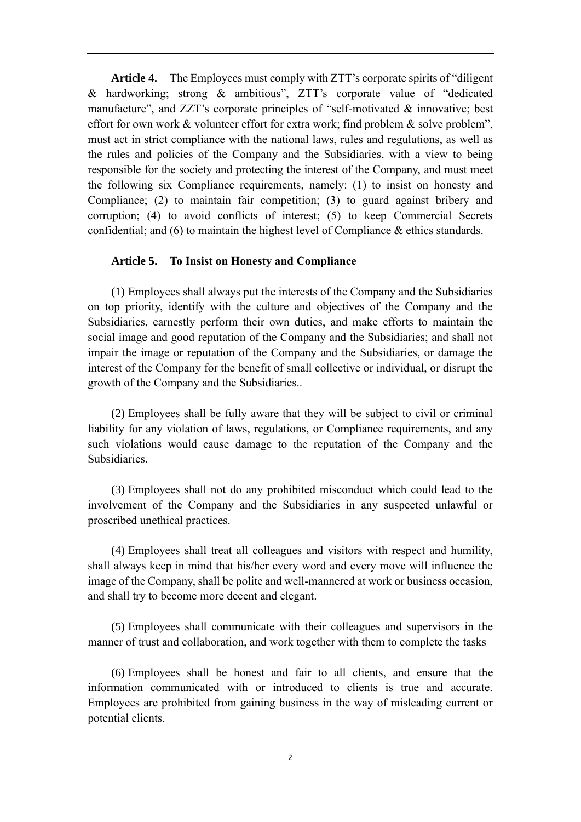**Article 4.** The Employees must comply with ZTT's corporate spirits of "diligent & hardworking; strong & ambitious", ZTT's corporate value of "dedicated manufacture", and ZZT's corporate principles of "self-motivated & innovative; best effort for own work & volunteer effort for extra work; find problem & solve problem", must act in strict compliance with the national laws, rules and regulations, as well as the rules and policies of the Company and the Subsidiaries, with a view to being responsible for the society and protecting the interest of the Company, and must meet the following six Compliance requirements, namely: (1) to insist on honesty and Compliance; (2) to maintain fair competition; (3) to guard against bribery and corruption; (4) to avoid conflicts of interest; (5) to keep Commercial Secrets confidential; and (6) to maintain the highest level of Compliance & ethics standards.

# **Article 5. To Insist on Honesty and Compliance**

(1) Employees shall always put the interests of the Company and the Subsidiaries on top priority, identify with the culture and objectives of the Company and the Subsidiaries, earnestly perform their own duties, and make efforts to maintain the social image and good reputation of the Company and the Subsidiaries; and shall not impair the image or reputation of the Company and the Subsidiaries, or damage the interest of the Company for the benefit of small collective or individual, or disrupt the growth of the Company and the Subsidiaries..

(2) Employees shall be fully aware that they will be subject to civil or criminal liability for any violation of laws, regulations, or Compliance requirements, and any such violations would cause damage to the reputation of the Company and the Subsidiaries.

(3) Employees shall not do any prohibited misconduct which could lead to the involvement of the Company and the Subsidiaries in any suspected unlawful or proscribed unethical practices.

(4) Employees shall treat all colleagues and visitors with respect and humility, shall always keep in mind that his/her every word and every move will influence the image of the Company, shall be polite and well-mannered at work or business occasion, and shall try to become more decent and elegant.

(5) Employees shall communicate with their colleagues and supervisors in the manner of trust and collaboration, and work together with them to complete the tasks

(6) Employees shall be honest and fair to all clients, and ensure that the information communicated with or introduced to clients is true and accurate. Employees are prohibited from gaining business in the way of misleading current or potential clients.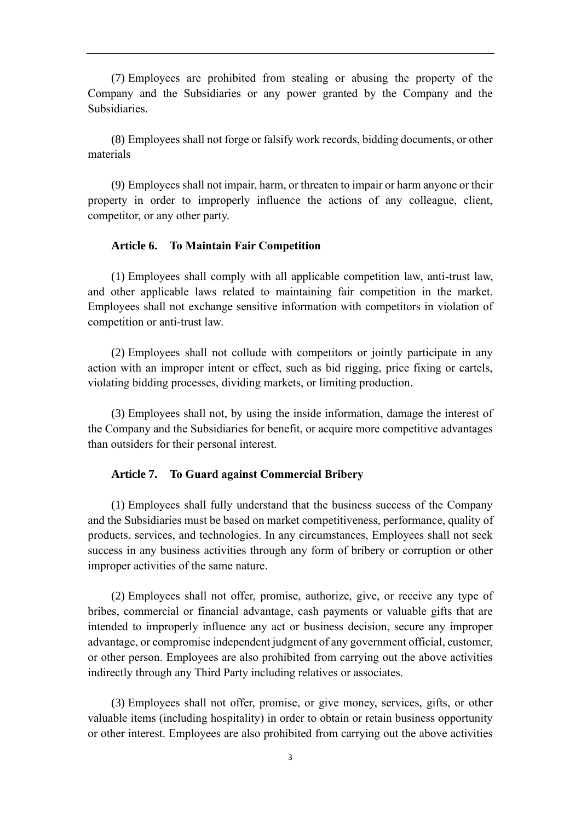(7) Employees are prohibited from stealing or abusing the property of the Company and the Subsidiaries or any power granted by the Company and the Subsidiaries.

(8) Employees shall not forge or falsify work records, bidding documents, or other materials

(9) Employees shall not impair, harm, or threaten to impair or harm anyone or their property in order to improperly influence the actions of any colleague, client, competitor, or any other party.

#### **Article 6. To Maintain Fair Competition**

(1) Employees shall comply with all applicable competition law, anti-trust law, and other applicable laws related to maintaining fair competition in the market. Employees shall not exchange sensitive information with competitors in violation of competition or anti-trust law.

(2) Employees shall not collude with competitors or jointly participate in any action with an improper intent or effect, such as bid rigging, price fixing or cartels, violating bidding processes, dividing markets, or limiting production.

(3) Employees shall not, by using the inside information, damage the interest of the Company and the Subsidiaries for benefit, or acquire more competitive advantages than outsiders for their personal interest.

# **Article 7. To Guard against Commercial Bribery**

(1) Employees shall fully understand that the business success of the Company and the Subsidiaries must be based on market competitiveness, performance, quality of products, services, and technologies. In any circumstances, Employees shall not seek success in any business activities through any form of bribery or corruption or other improper activities of the same nature.

(2) Employees shall not offer, promise, authorize, give, or receive any type of bribes, commercial or financial advantage, cash payments or valuable gifts that are intended to improperly influence any act or business decision, secure any improper advantage, or compromise independent judgment of any government official, customer, or other person. Employees are also prohibited from carrying out the above activities indirectly through any Third Party including relatives or associates.

(3) Employees shall not offer, promise, or give money, services, gifts, or other valuable items (including hospitality) in order to obtain or retain business opportunity or other interest. Employees are also prohibited from carrying out the above activities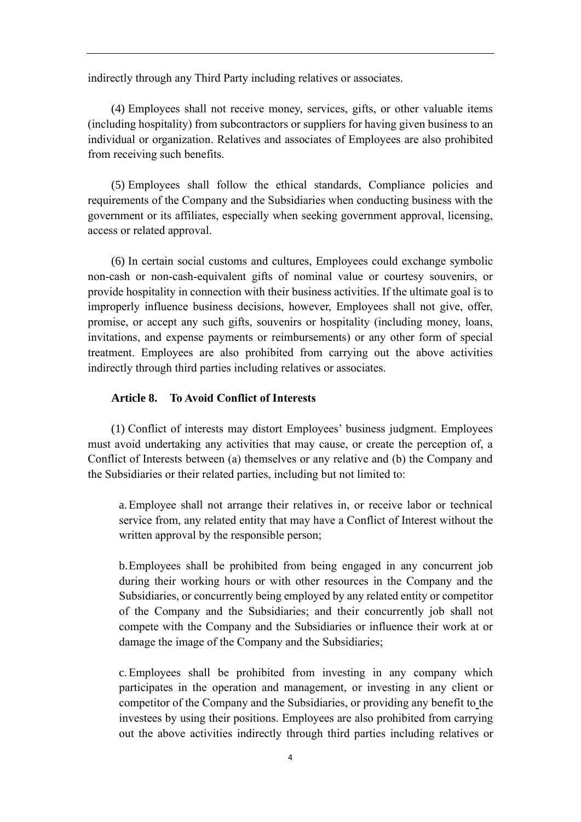indirectly through any Third Party including relatives or associates.

(4) Employees shall not receive money, services, gifts, or other valuable items (including hospitality) from subcontractors or suppliers for having given business to an individual or organization. Relatives and associates of Employees are also prohibited from receiving such benefits.

(5) Employees shall follow the ethical standards, Compliance policies and requirements of the Company and the Subsidiaries when conducting business with the government or its affiliates, especially when seeking government approval, licensing, access or related approval.

(6) In certain social customs and cultures, Employees could exchange symbolic non-cash or non-cash-equivalent gifts of nominal value or courtesy souvenirs, or provide hospitality in connection with their business activities. If the ultimate goal is to improperly influence business decisions, however, Employees shall not give, offer, promise, or accept any such gifts, souvenirs or hospitality (including money, loans, invitations, and expense payments or reimbursements) or any other form of special treatment. Employees are also prohibited from carrying out the above activities indirectly through third parties including relatives or associates.

### **Article 8. To Avoid Conflict of Interests**

(1) Conflict of interests may distort Employees' business judgment. Employees must avoid undertaking any activities that may cause, or create the perception of, a Conflict of Interests between (a) themselves or any relative and (b) the Company and the Subsidiaries or their related parties, including but not limited to:

a.Employee shall not arrange their relatives in, or receive labor or technical service from, any related entity that may have a Conflict of Interest without the written approval by the responsible person;

b.Employees shall be prohibited from being engaged in any concurrent job during their working hours or with other resources in the Company and the Subsidiaries, or concurrently being employed by any related entity or competitor of the Company and the Subsidiaries; and their concurrently job shall not compete with the Company and the Subsidiaries or influence their work at or damage the image of the Company and the Subsidiaries;

c.Employees shall be prohibited from investing in any company which participates in the operation and management, or investing in any client or competitor of the Company and the Subsidiaries, or providing any benefit to the investees by using their positions. Employees are also prohibited from carrying out the above activities indirectly through third parties including relatives or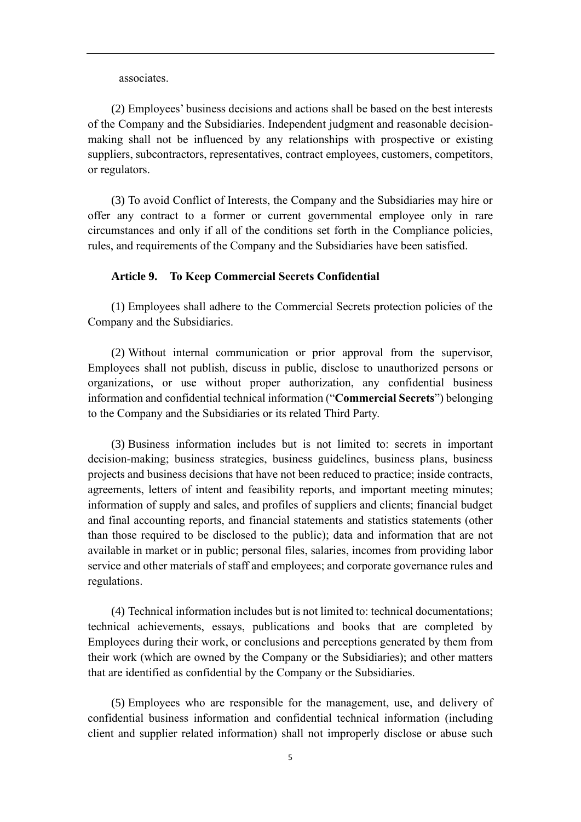associates.

(2) Employees' business decisions and actions shall be based on the best interests of the Company and the Subsidiaries. Independent judgment and reasonable decisionmaking shall not be influenced by any relationships with prospective or existing suppliers, subcontractors, representatives, contract employees, customers, competitors, or regulators.

(3) To avoid Conflict of Interests, the Company and the Subsidiaries may hire or offer any contract to a former or current governmental employee only in rare circumstances and only if all of the conditions set forth in the Compliance policies, rules, and requirements of the Company and the Subsidiaries have been satisfied.

#### **Article 9. To Keep Commercial Secrets Confidential**

(1) Employees shall adhere to the Commercial Secrets protection policies of the Company and the Subsidiaries.

(2) Without internal communication or prior approval from the supervisor, Employees shall not publish, discuss in public, disclose to unauthorized persons or organizations, or use without proper authorization, any confidential business information and confidential technical information ("**Commercial Secrets**") belonging to the Company and the Subsidiaries or its related Third Party.

(3) Business information includes but is not limited to: secrets in important decision-making; business strategies, business guidelines, business plans, business projects and business decisions that have not been reduced to practice; inside contracts, agreements, letters of intent and feasibility reports, and important meeting minutes; information of supply and sales, and profiles of suppliers and clients; financial budget and final accounting reports, and financial statements and statistics statements (other than those required to be disclosed to the public); data and information that are not available in market or in public; personal files, salaries, incomes from providing labor service and other materials of staff and employees; and corporate governance rules and regulations.

(4) Technical information includes but is not limited to: technical documentations; technical achievements, essays, publications and books that are completed by Employees during their work, or conclusions and perceptions generated by them from their work (which are owned by the Company or the Subsidiaries); and other matters that are identified as confidential by the Company or the Subsidiaries.

(5) Employees who are responsible for the management, use, and delivery of confidential business information and confidential technical information (including client and supplier related information) shall not improperly disclose or abuse such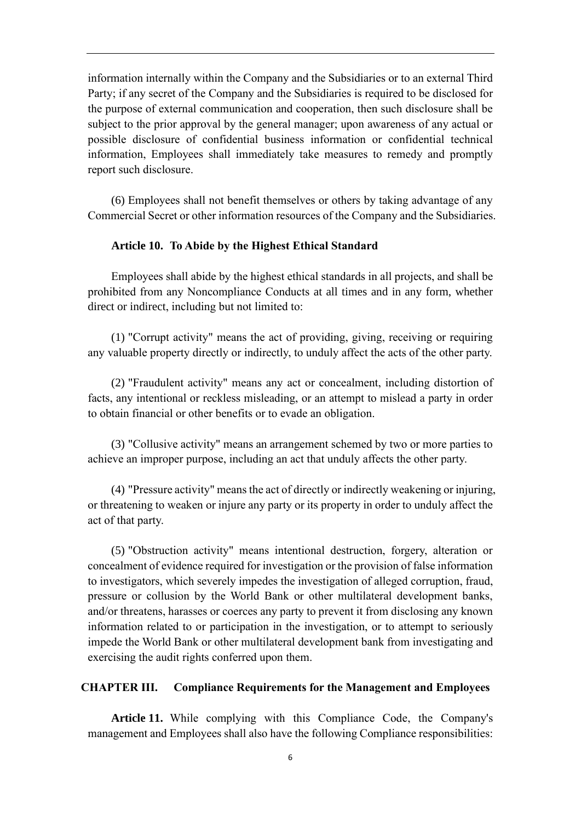information internally within the Company and the Subsidiaries or to an external Third Party; if any secret of the Company and the Subsidiaries is required to be disclosed for the purpose of external communication and cooperation, then such disclosure shall be subject to the prior approval by the general manager; upon awareness of any actual or possible disclosure of confidential business information or confidential technical information, Employees shall immediately take measures to remedy and promptly report such disclosure.

(6) Employees shall not benefit themselves or others by taking advantage of any Commercial Secret or other information resources of the Company and the Subsidiaries.

### **Article 10. To Abide by the Highest Ethical Standard**

Employees shall abide by the highest ethical standards in all projects, and shall be prohibited from any Noncompliance Conducts at all times and in any form, whether direct or indirect, including but not limited to:

(1) "Corrupt activity" means the act of providing, giving, receiving or requiring any valuable property directly or indirectly, to unduly affect the acts of the other party.

(2) "Fraudulent activity" means any act or concealment, including distortion of facts, any intentional or reckless misleading, or an attempt to mislead a party in order to obtain financial or other benefits or to evade an obligation.

(3) "Collusive activity" means an arrangement schemed by two or more parties to achieve an improper purpose, including an act that unduly affects the other party.

(4) "Pressure activity" means the act of directly or indirectly weakening or injuring, or threatening to weaken or injure any party or its property in order to unduly affect the act of that party.

(5) "Obstruction activity" means intentional destruction, forgery, alteration or concealment of evidence required for investigation or the provision of false information to investigators, which severely impedes the investigation of alleged corruption, fraud, pressure or collusion by the World Bank or other multilateral development banks, and/or threatens, harasses or coerces any party to prevent it from disclosing any known information related to or participation in the investigation, or to attempt to seriously impede the World Bank or other multilateral development bank from investigating and exercising the audit rights conferred upon them.

### **CHAPTER III. Compliance Requirements for the Management and Employees**

**Article 11.** While complying with this Compliance Code, the Company's management and Employees shall also have the following Compliance responsibilities: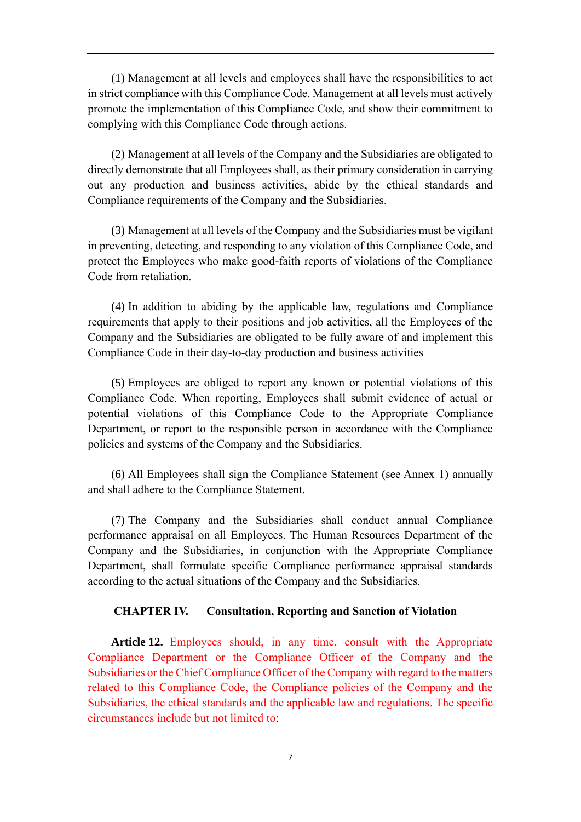(1) Management at all levels and employees shall have the responsibilities to act in strict compliance with this Compliance Code. Management at all levels must actively promote the implementation of this Compliance Code, and show their commitment to complying with this Compliance Code through actions.

(2) Management at all levels of the Company and the Subsidiaries are obligated to directly demonstrate that all Employees shall, as their primary consideration in carrying out any production and business activities, abide by the ethical standards and Compliance requirements of the Company and the Subsidiaries.

(3) Management at all levels of the Company and the Subsidiaries must be vigilant in preventing, detecting, and responding to any violation of this Compliance Code, and protect the Employees who make good-faith reports of violations of the Compliance Code from retaliation.

(4) In addition to abiding by the applicable law, regulations and Compliance requirements that apply to their positions and job activities, all the Employees of the Company and the Subsidiaries are obligated to be fully aware of and implement this Compliance Code in their day-to-day production and business activities

(5) Employees are obliged to report any known or potential violations of this Compliance Code. When reporting, Employees shall submit evidence of actual or potential violations of this Compliance Code to the Appropriate Compliance Department, or report to the responsible person in accordance with the Compliance policies and systems of the Company and the Subsidiaries.

(6) All Employees shall sign the Compliance Statement (see Annex 1) annually and shall adhere to the Compliance Statement.

(7) The Company and the Subsidiaries shall conduct annual Compliance performance appraisal on all Employees. The Human Resources Department of the Company and the Subsidiaries, in conjunction with the Appropriate Compliance Department, shall formulate specific Compliance performance appraisal standards according to the actual situations of the Company and the Subsidiaries.

# **CHAPTER IV. Consultation, Reporting and Sanction of Violation**

**Article 12.** Employees should, in any time, consult with the Appropriate Compliance Department or the Compliance Officer of the Company and the Subsidiaries or the Chief Compliance Officer of the Company with regard to the matters related to this Compliance Code, the Compliance policies of the Company and the Subsidiaries, the ethical standards and the applicable law and regulations. The specific circumstances include but not limited to: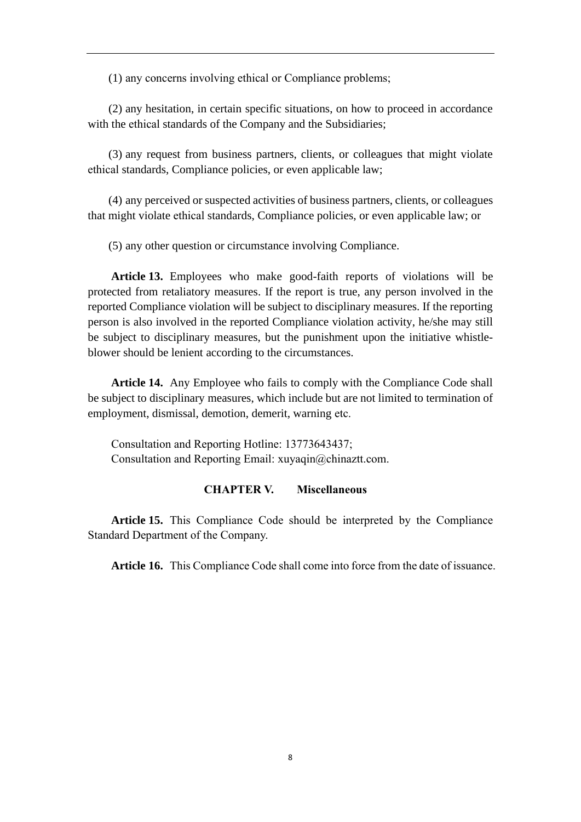(1) any concerns involving ethical or Compliance problems;

(2) any hesitation, in certain specific situations, on how to proceed in accordance with the ethical standards of the Company and the Subsidiaries;

(3) any request from business partners, clients, or colleagues that might violate ethical standards, Compliance policies, or even applicable law;

(4) any perceived or suspected activities of business partners, clients, or colleagues that might violate ethical standards, Compliance policies, or even applicable law; or

(5) any other question or circumstance involving Compliance.

**Article 13.** Employees who make good-faith reports of violations will be protected from retaliatory measures. If the report is true, any person involved in the reported Compliance violation will be subject to disciplinary measures. If the reporting person is also involved in the reported Compliance violation activity, he/she may still be subject to disciplinary measures, but the punishment upon the initiative whistleblower should be lenient according to the circumstances.

**Article 14.** Any Employee who fails to comply with the Compliance Code shall be subject to disciplinary measures, which include but are not limited to termination of employment, dismissal, demotion, demerit, warning etc.

Consultation and Reporting Hotline: 13773643437; Consultation and Reporting Email: [xuyaqin@chinaztt.com.](mailto:xuyaqin@chinaztt.com)

# **CHAPTER V. Miscellaneous**

**Article 15.** This Compliance Code should be interpreted by the Compliance Standard Department of the Company.

**Article 16.** This Compliance Code shall come into force from the date of issuance.